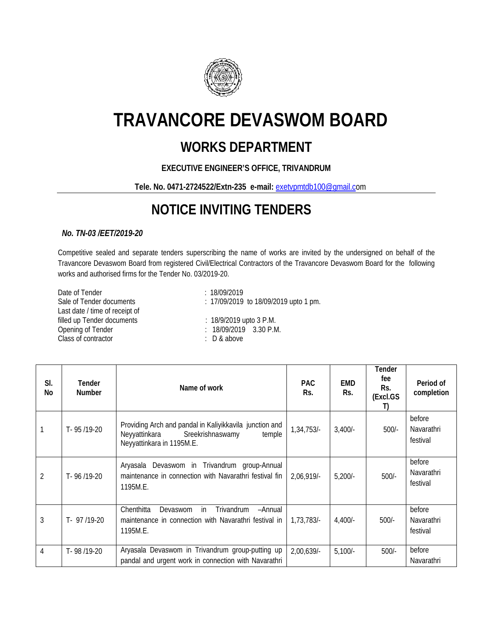

# **TRAVANCORE DEVASWOM BOARD**

### **WORKS DEPARTMENT**

### **EXECUTIVE ENGINEER'S OFFICE, TRIVANDRUM**

#### **Tele. No. 0471-2724522/Extn-235 e-mail:** [exetvpmtdb100@gmail.co](mailto:exetvpmtdb100@gmail.c)m

## **NOTICE INVITING TENDERS**

#### *No. TN-03 /EET/2019-20*

Competitive sealed and separate tenders superscribing the name of works are invited by the undersigned on behalf of the Travancore Devaswom Board from registered Civil/Electrical Contractors of the Travancore Devaswom Board for the following works and authorised firms for the Tender No. 03/2019-20.

Date of Tender<br>Sale of Tender documents<br> $\frac{18}{09/2019}$ : 17/09/2019 Last date / time of receipt of filled up Tender documents : 18/9/2019 upto 3 P.M. Opening of Tender : 18/09/2019 3.30 P.M. Class of contractor **:** D & above

: 17/09/2019 to 18/09/2019 upto 1 pm.

| SI.<br>No      | <b>Tender</b><br><b>Number</b> | Name of work                                                                                                                        | <b>PAC</b><br>Rs. | <b>EMD</b><br>Rs. | Tender<br>fee<br>Rs.<br>(Excl.GS<br>T) | Period of<br>completion                 |
|----------------|--------------------------------|-------------------------------------------------------------------------------------------------------------------------------------|-------------------|-------------------|----------------------------------------|-----------------------------------------|
|                | T-95/19-20                     | Providing Arch and pandal in Kaliyikkavila junction and<br>Neyyattinkara<br>Sreekrishnaswamy<br>temple<br>Neyyattinkara in 1195M.E. | 1,34,753/-        | $3,400/-$         | $500/-$                                | before<br><b>Navarathri</b><br>festival |
| $\overline{2}$ | T-96/19-20                     | Aryasala Devaswom in Trivandrum<br>group-Annual<br>maintenance in connection with Navarathri festival fin<br>1195M.E.               | 2,06,919/-        | $5,200/-$         | $500/-$                                | before<br>Navarathri<br>festival        |
| 3              | $T - 97/19-20$                 | Chenthitta<br>Trivandrum<br>-Annual<br>Devaswom<br>in.<br>maintenance in connection with Navarathri festival in<br>1195M.E.         | 1.73.783/         | $4,400/-$         | $500/-$                                | before<br>Navarathri<br>festival        |
| $\overline{4}$ | T-98/19-20                     | Aryasala Devaswom in Trivandrum group-putting up<br>pandal and urgent work in connection with Navarathri                            | 2,00,639/-        | $5,100/-$         | $500/-$                                | before<br>Navarathri                    |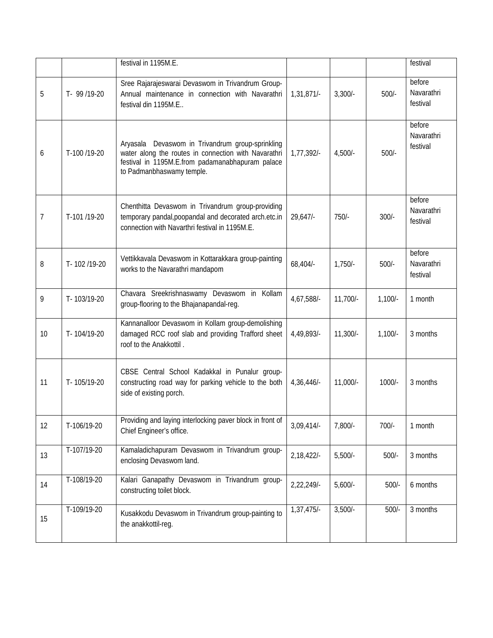|    |               | festival in 1195M.E.                                                                                                                                                                         |               |            |           | festival                         |
|----|---------------|----------------------------------------------------------------------------------------------------------------------------------------------------------------------------------------------|---------------|------------|-----------|----------------------------------|
| 5  | T- 99 /19-20  | Sree Rajarajeswarai Devaswom in Trivandrum Group-<br>Annual maintenance in connection with Navarathri<br>festival din 1195M.E                                                                | 1,31,871/-    | $3,300/-$  | $500/-$   | before<br>Navarathri<br>festival |
| 6  | T-100 /19-20  | Devaswom in Trivandrum group-sprinkling<br>Aryasala<br>water along the routes in connection with Navarathri<br>festival in 1195M.E.from padamanabhapuram palace<br>to Padmanbhaswamy temple. | 1,77,392/-    | $4,500/-$  | $500/-$   | before<br>Navarathri<br>festival |
| 7  | T-101 /19-20  | Chenthitta Devaswom in Trivandrum group-providing<br>temporary pandal, poopandal and decorated arch.etc.in<br>connection with Navarthri festival in 1195M.E.                                 | 29,647        | $750/-$    | $300/-$   | before<br>Navarathri<br>festival |
| 8  | T-102/19-20   | Vettikkavala Devaswom in Kottarakkara group-painting<br>works to the Navarathri mandapom                                                                                                     | 68,404/-      | $1,750/-$  | $500/-$   | before<br>Navarathri<br>festival |
| 9  | T-103/19-20   | Chavara Sreekrishnaswamy Devaswom in Kollam<br>group-flooring to the Bhajanapandal-reg.                                                                                                      | 4,67,588/-    | $11,700/-$ | $1,100/-$ | 1 month                          |
| 10 | T-104/19-20   | Kannanalloor Devaswom in Kollam group-demolishing<br>damaged RCC roof slab and providing Trafford sheet<br>roof to the Anakkottil.                                                           | 4,49,893/-    | $11,300/-$ | $1,100/-$ | 3 months                         |
| 11 | T-105/19-20   | CBSE Central School Kadakkal in Punalur group-<br>constructing road way for parking vehicle to the both<br>side of existing porch.                                                           | 4,36,446/-    | $11,000/-$ | 1000/-    | 3 months                         |
| 12 | T-106/19-20   | Providing and laying interlocking paver block in front of<br>Chief Engineer's office.                                                                                                        | $3,09,414/-$  | 7,800/-    | 700/-     | 1 month                          |
| 13 | $T-107/19-20$ | Kamaladichapuram Devaswom in Trivandrum group-<br>enclosing Devaswom land.                                                                                                                   | $2,18,422$ /- | $5,500/-$  | $500/-$   | 3 months                         |
| 14 | T-108/19-20   | Kalari Ganapathy Devaswom in Trivandrum group-<br>constructing toilet block.                                                                                                                 | 2,22,249/-    | $5,600/-$  | $500/-$   | 6 months                         |
| 15 | T-109/19-20   | Kusakkodu Devaswom in Trivandrum group-painting to<br>the anakkottil-reg.                                                                                                                    | 1,37,475/-    | $3,500/-$  | $500/-$   | 3 months                         |